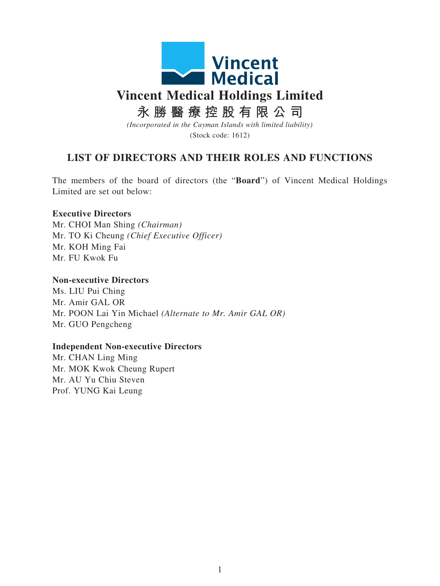

## **LIST OF DIRECTORS AND THEIR ROLES AND FUNCTIONS**

The members of the board of directors (the "**Board**") of Vincent Medical Holdings Limited are set out below:

## **Executive Directors**

Mr. CHOI Man Shing *(Chairman)* Mr. TO Ki Cheung *(Chief Executive Officer)* Mr. KOH Ming Fai Mr. FU Kwok Fu

## **Non-executive Directors**

Ms. LIU Pui Ching Mr. Amir GAL OR Mr. POON Lai Yin Michael *(Alternate to Mr. Amir GAL OR)* Mr. GUO Pengcheng

## **Independent Non-executive Directors**

Mr. CHAN Ling Ming Mr. MOK Kwok Cheung Rupert Mr. AU Yu Chiu Steven Prof. YUNG Kai Leung